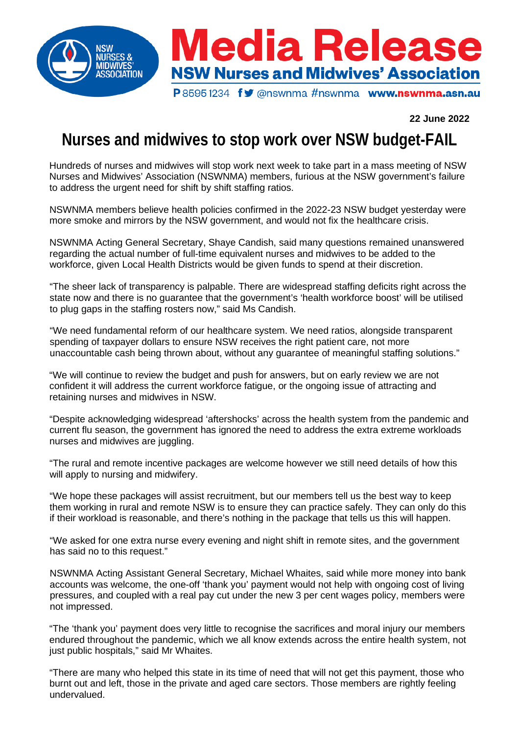

## **22 June 2022**

## **Nurses and midwives to stop work over NSW budget-FAIL**

Hundreds of nurses and midwives will stop work next week to take part in a mass meeting of NSW Nurses and Midwives' Association (NSWNMA) members, furious at the NSW government's failure to address the urgent need for shift by shift staffing ratios.

NSWNMA members believe health policies confirmed in the 2022-23 NSW budget yesterday were more smoke and mirrors by the NSW government, and would not fix the healthcare crisis.

NSWNMA Acting General Secretary, Shaye Candish, said many questions remained unanswered regarding the actual number of full-time equivalent nurses and midwives to be added to the workforce, given Local Health Districts would be given funds to spend at their discretion.

"The sheer lack of transparency is palpable. There are widespread staffing deficits right across the state now and there is no guarantee that the government's 'health workforce boost' will be utilised to plug gaps in the staffing rosters now," said Ms Candish.

"We need fundamental reform of our healthcare system. We need ratios, alongside transparent spending of taxpayer dollars to ensure NSW receives the right patient care, not more unaccountable cash being thrown about, without any guarantee of meaningful staffing solutions."

"We will continue to review the budget and push for answers, but on early review we are not confident it will address the current workforce fatigue, or the ongoing issue of attracting and retaining nurses and midwives in NSW.

"Despite acknowledging widespread 'aftershocks' across the health system from the pandemic and current flu season, the government has ignored the need to address the extra extreme workloads nurses and midwives are juggling.

"The rural and remote incentive packages are welcome however we still need details of how this will apply to nursing and midwifery.

"We hope these packages will assist recruitment, but our members tell us the best way to keep them working in rural and remote NSW is to ensure they can practice safely. They can only do this if their workload is reasonable, and there's nothing in the package that tells us this will happen.

"We asked for one extra nurse every evening and night shift in remote sites, and the government has said no to this request."

NSWNMA Acting Assistant General Secretary, Michael Whaites, said while more money into bank accounts was welcome, the one-off 'thank you' payment would not help with ongoing cost of living pressures, and coupled with a real pay cut under the new 3 per cent wages policy, members were not impressed.

"The 'thank you' payment does very little to recognise the sacrifices and moral injury our members endured throughout the pandemic, which we all know extends across the entire health system, not just public hospitals," said Mr Whaites.

"There are many who helped this state in its time of need that will not get this payment, those who burnt out and left, those in the private and aged care sectors. Those members are rightly feeling undervalued.